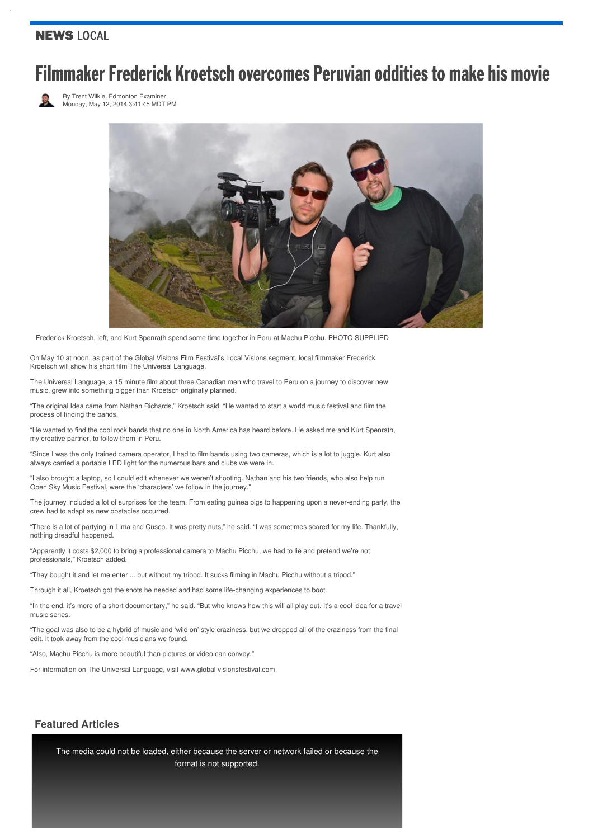### **NEWS LOCAL**

# **Filmmaker Frederick Kroetsch overcomes Peruvian oddities to make his movie**



By Trent [Wilkie,](http://www.edmontonexaminer.com/author/trent-wilkie) Edmonton Examiner Monday, May 12, 2014 3:41:45 MDT PM



Frederick Kroetsch, left, and Kurt Spenrath spend some time together in Peru at Machu Picchu. PHOTO SUPPLIED

On May 10 at noon, as part of the Global Visions Film Festival's Local Visions segment, local filmmaker Frederick Kroetsch will show his short film The Universal Language.

The Universal Language, a 15 minute film about three Canadian men who travel to Peru on a journey to discover new music, grew into something bigger than Kroetsch originally planned.

"The original Idea came from Nathan Richards," Kroetsch said. "He wanted to start a world music festival and film the process of finding the bands.

"He wanted to find the cool rock bands that no one in North America has heard before. He asked me and Kurt Spenrath, my creative partner, to follow them in Peru.

"Since I was the only trained camera operator, I had to film bands using two cameras, which is a lot to juggle. Kurt also always carried a portable LED light for the numerous bars and clubs we were in.

"I also brought a laptop, so I could edit whenever we weren't shooting. Nathan and his two friends, who also help run Open Sky Music Festival, were the 'characters' we follow in the journey."

The journey included a lot of surprises for the team. From eating guinea pigs to happening upon a never-ending party, the crew had to adapt as new obstacles occurred.

"There is a lot of partying in Lima and Cusco. It was pretty nuts," he said. "I was sometimes scared for my life. Thankfully, nothing dreadful happened.

"Apparently it costs \$2,000 to bring a professional camera to Machu Picchu, we had to lie and pretend we're not professionals," Kroetsch added.

"They bought it and let me enter ... but without my tripod. It sucks filming in Machu Picchu without a tripod."

Through it all, Kroetsch got the shots he needed and had some life-changing experiences to boot.

"In the end, it's more of a short documentary," he said. "But who knows how this will all play out. It's a cool idea for a travel music series.

"The goal was also to be a hybrid of music and 'wild on' style craziness, but we dropped all of the craziness from the final edit. It took away from the cool musicians we found.

"Also, Machu Picchu is more beautiful than pictures or video can convey."

For information on The Universal Language, visit www.global visionsfestival.com

#### **Featured Articles**

The media could not be loaded, either because the server or network failed or because the format is not supported.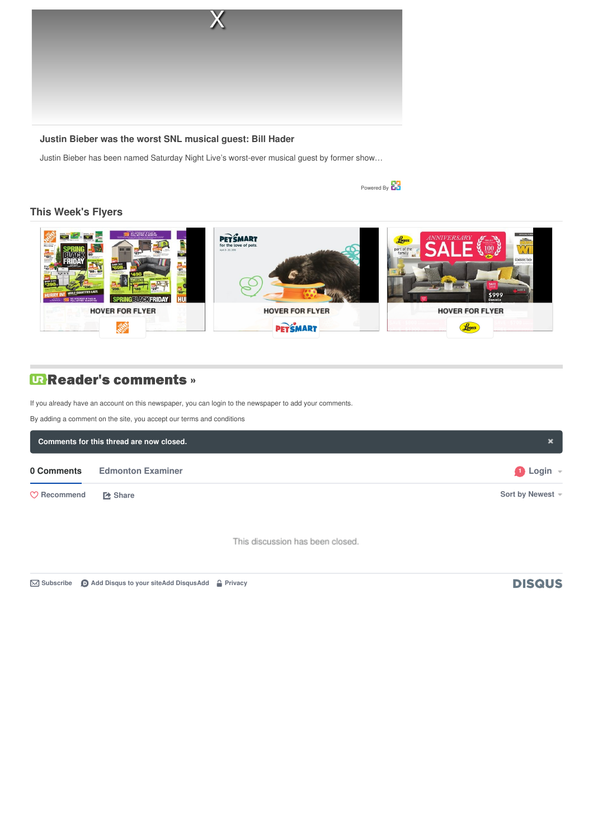

#### **Justin Bieber was the worst SNL musical guest: Bill Hader**

Justin Bieber has been named Saturday Night Live's worst-ever musical guest by former s[how…](http://i.jsrdn.com/i/1.gif?r=r01f&k=ZAl1cy1lYXN0LTFhCWgJaS0wMGVkZWY2Yzk2NTQ5YTI5Ngl1CTBhYmM4N2Q1LTk1Y2MtNDI3Yy05YzNjLTJhMDc5MWRlYTVmMgl2CTc2YzNmOTJmLTdlN2QtNDY1Ny1iOTYyLWI0MWEyYTgzODM3Mwl2bAkyMDE4MDQyMC4xNzAxCXZ0CTIwMTgwNDIwLjE3MDEJdnMJMjAxNzA5MDcJdmMJMjAxODAyMjAJc3QJMjAxODA0MjAuMTczNzIyCWkJYjE0YzczYTktOGE4OS00OWEwLThlOGUtZmE3YTUxOTJmOWJhCWYJaHR0cDovL3d3dy5lZG1vbnRvbmV4YW1pbmVyLmNvbS8yMDE0LzA1LzA3L2ZpbG1tYWtlci1mcmVkZXJpY2sta3JvZXRzY2gtb3ZlcmNvbWVzLXBlcnV2aWFuLW9kZGl0aWVzLXRvLW1ha2UtaGlzLW1vdmllCXEJNjU5ZDhjOWUtMDlkYi00ZGQ5LWJjMWYtYmJmNTZhNjA3ZTcwCW0JMjIzNDIJYgkyNjIJZwk0MTAJdAk0Nzk0CWMJNDg0NQlsCTE0NzA2CXoJMTM4OTcJcwk1NzE0CXAJMjI1MDcJdwluZXdzCWdjCVVTCWdyCU5WCWdkCTgzOQlnbglDb3Jwb3JhdGUJbmUJaXYJbmQJaXYJc2QJZWRtb250b25leGFtaW5lci5jb20JbmYJaXYJcXAJNTAJcXQJMjUwMAlwbgkzNDk2CXZuCTQ5ODg3OQllCWNrCWEJODI0CW8J&fwd=http%3A%2F%2Fwww.distroscale.com)

Powered By

## **This [Week's](http://edmontonexaminer.com/flyercity?utm_source=fm&utm_medium=fm_15695&utm_term=title&utm_campaign=wishabi_1_0&postal_code=M9B&traffic_source=destination_module_inline) Flyers**



# **URReader's comments** »

If you already have an account on this newspaper, you can login to the [newspaper](javascript:void(0);) to add your comments.

By adding a comment on the site, you accept our terms and [conditions](http://www.postmedia.com/terms-of-use)

| Comments for this thread are now closed. |                          |                          |
|------------------------------------------|--------------------------|--------------------------|
| 0 Comments                               | <b>Edmonton Examiner</b> | $\bigcirc$ Login $\lnot$ |
| $\heartsuit$ Recommend                   | <b>【2 Share</b>          | Sort by Newest =         |

This discussion has been closed.

**[Subscribe](https://disqus.com/embed/comments/?base=default&f=edmontonexaminer&t_i=st-1297557797360&t_u=http%3A%2F%2Fwww.edmontonexaminer.com%2F2014%2F05%2F07%2Ffilmmaker-frederick-kroetsch-overcomes-peruvian-oddities-to-make-his-movie&t_d=Universal%20language%20at%20Global%20Visions%20%7C%20Edmonton%20Examiner&t_t=Universal%20language%20at%20Global%20Visions%20%7C%20Edmonton%20Examiner&s_o=default#) Add Disqus to your siteAdd [DisqusAdd](https://disqus.com/) [Privacy](https://help.disqus.com/customer/portal/articles/466259-privacy-policy)**

# **DISQUS**